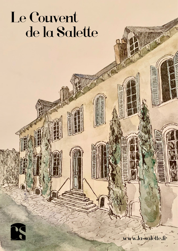# Le Couvent de la Salette

R

w.la-salette.fr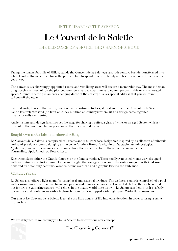IN THE HEART OF THE AVEYRON

## Le Couvent de la Salette

#### THE ELEGANCE OF A HOTEL, THE CHARM OF A HOME

Facing the Larzac foothills of Millau, stands the Couvent de la Salette; a vast 19th century bastide transformed into a hotel and wellness center. This is the perfect place to spend time with family and friends, or come for a romantic get-a-way.

The convent's six charmingly appointed rooms and vast living areas will ensure a memorable stay. The most demanding traveler will remark on the play between secret and airy, antique and contemporary in this newly renovated space. A tranquil setting in an ever-changing decor of the season; this is a special address that you will want to keep off the radar.

Cultural visits, hikes in the nature, fine food and sporting activities; all is at your feet the Couvent de la Salette. Take a leisurely weekend (no limit on check out time on Sundays) where art and design come together in a historically rich setting.

Ancient stone and design furniture set the stage for sharing a coffee, a glass of wine, or an aged Scotch whiskey in front of the monumental fireplace, or on the tree covered terrace.

#### Roughhewn materials in a mineral setting

Le Couvent de la Salette is comprised of 4 rooms and 2 suites whose design was inspired by a collection of minerals and semi-precious stones belonging to the owner's father, Bruno Perris, himself a passionate mineralogist. Mysterious, energetic, sensuous; each room echoes the feel and color of the stone it is named after. Tourmaline, Opal, Amethyst, Desert Rose.

Each room faces either the Grands Causses or the famous viaduct. These totally renovated rooms were designed with your utmost comfort in mind. Large and bright, the average size is 40m<sup>2</sup>, the suites are 90m<sup>2</sup> with kind sized beds and free-standing bathtubs. Wooden beams overhead add a graphic twist to the ambiance.

#### Wellness Center

La Salette also offers a light menu featuring local and seasonal products. The wellness center is comprised of a pool with a swimming current, sauna, hammam, jacuzzi and massage services. Le Couvent de la Salette can be rented out for private gatherings; guests will rejoice in the luxury world unto its own. La Salette also lends itself perfectly to seminars and conferences with a high-tech room for 15, equipped with high speed Wi-Fi, flat screens, etc.

Our aim at Le Couvent de la Salette is to take the little details of life into consideration, in order to bring a smile to your face.

We are delighted in welcoming you to La Salette to discover our new concept:



**"The Charming Convent"!**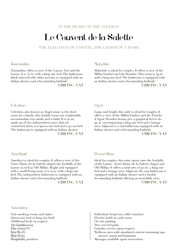IN THE HEART OF THE AVEYRON

### Le Couvent de la Salette

THE ELEGANCE OF A HOTEL, THE CHARM OF A HOME

#### Tourmaline

Tourmaline offers a view of the Causse Noir and the Larzac. It is  $37 \text{ m}^2$  with a king size bed. The bathroom, black mineral with white accents, is equipped with an Italian shower and a freestanding bathtub.

**€200 INC. VAT**

#### Malachite

Malachite is ideal for couples. It offers a view of the Millau Viaduct and the Dourbie. This room is 39 m<sup>2</sup> with a king size bed. The bathroom is equipped with an Italian shower and a freestanding bathtub.

**€200 INC. VAT**

#### **Celestine**

Celestine, also known as Angel stone, is the ideal room for a family: this double room can comfortably accommodate two adults and a child. It is 40  $\mathrm{m}^{_2}\!,$ made up of two independent zones that are connected, there is a queen size bed and a 90 cm bed. The bathroom is equipped with an Italian shower. **€200 INC. VAT**

#### Opal

Large and bright, this suite is ideal for couples. It offers a view of the Millau Viaduct and the Puncho d'Agast. Wooden beams give a graphical feel to its 90 m2 encompassing a king size bed and a lounge area. Adjacent is a vast bathroom equipped with an Italian shower and a freestanding bathtub.

**€300 INC. VAT**

#### Amethyst

Amethyst is ideal for couples. It offers a view of the Notre-Dame-de-la-Salette chapel, the foothills of the Larzac as well as Old Millau. Bright and equipped with a small living room, it is  $4<sup>r</sup>$  m<sup>2</sup> with a king size bed. The independent bathroom is equipped with an Italian shower and a freestanding bathtub. **€200 INC. VAT**

#### **Amenities**

Non-smoking rooms and suites Queen size bed or king size beds Additional beds on request Air conditioning Flat screen TV Free Wi-Fi Hair dryer Hospitality products

#### Desert Rose

Ideal for couples, this suite opens onto the foothills of the Larzac, Notre-Dame-de-la-Salette chapel and Old Millau. It offers a total area of 90  $m^2$ , a king size bed and a lounge area. Adjacent, the vast bathroom is equipped with an Italian shower and a double freestanding bathtub offering an incredible view. **€300 INC. VAT**

Individual Nespresso coffee machine Electric kettle in each room On-site parking Tree covered park Laundry service upon request Wellness area with simulated-current swimming spa, jacuzzi, sauna and hammam Massages available upon reservation